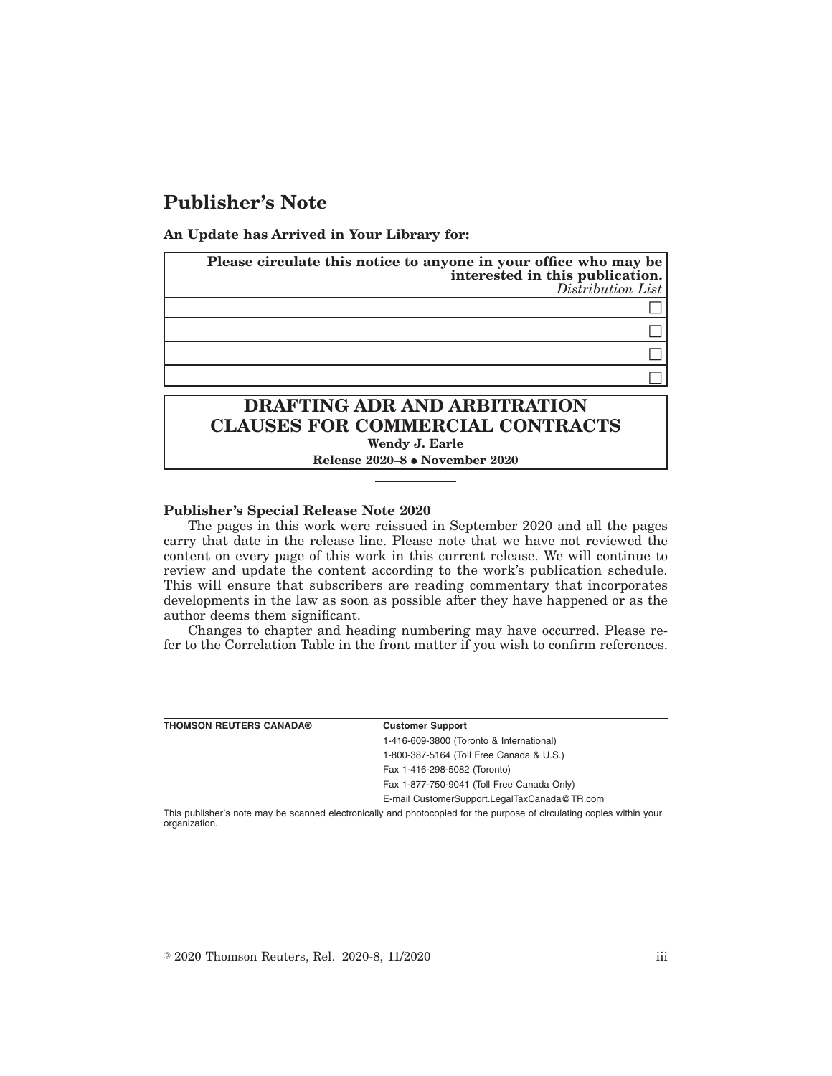## **Publisher's Note**

**An Update has Arrived in Your Library for:**

| Please circulate this notice to anyone in your office who may be<br>interested in this publication.<br>Distribution List |  |
|--------------------------------------------------------------------------------------------------------------------------|--|
|                                                                                                                          |  |
|                                                                                                                          |  |
|                                                                                                                          |  |
|                                                                                                                          |  |
| <b>DRAFTING ADR AND ARBITRATION</b><br><b>CLAUSES FOR COMMERCIAL CONTRACTS</b><br>Wendy J. Earle                         |  |

**Release 2020-8 • November 2020** 

## **Publisher's Special Release Note 2020**

The pages in this work were reissued in September 2020 and all the pages carry that date in the release line. Please note that we have not reviewed the content on every page of this work in this current release. We will continue to review and update the content according to the work's publication schedule. This will ensure that subscribers are reading commentary that incorporates developments in the law as soon as possible after they have happened or as the author deems them significant.

Changes to chapter and heading numbering may have occurred. Please refer to the Correlation Table in the front matter if you wish to confirm references.

| <b>THOMSON REUTERS CANADA®</b> | <b>Customer Support</b>                      |
|--------------------------------|----------------------------------------------|
|                                | 1-416-609-3800 (Toronto & International)     |
|                                | 1-800-387-5164 (Toll Free Canada & U.S.)     |
|                                | Fax 1-416-298-5082 (Toronto)                 |
|                                | Fax 1-877-750-9041 (Toll Free Canada Only)   |
|                                | E-mail CustomerSupport.LegalTaxCanada@TR.com |
|                                |                                              |

This publisher's note may be scanned electronically and photocopied for the purpose of circulating copies within your organization.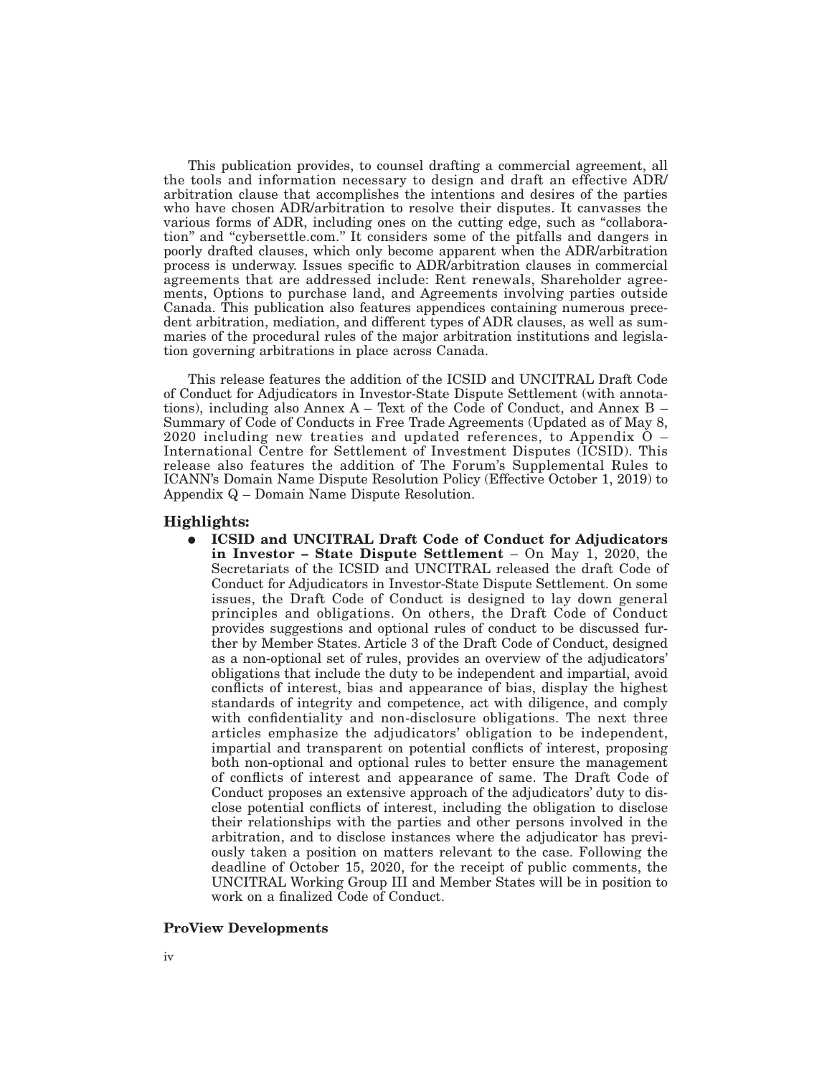This publication provides, to counsel drafting a commercial agreement, all the tools and information necessary to design and draft an effective ADR/ arbitration clause that accomplishes the intentions and desires of the parties who have chosen ADR/arbitration to resolve their disputes. It canvasses the various forms of ADR, including ones on the cutting edge, such as ''collaboration'' and ''cybersettle.com.'' It considers some of the pitfalls and dangers in poorly drafted clauses, which only become apparent when the ADR/arbitration process is underway. Issues specific to ADR/arbitration clauses in commercial agreements that are addressed include: Rent renewals, Shareholder agreements, Options to purchase land, and Agreements involving parties outside Canada. This publication also features appendices containing numerous precedent arbitration, mediation, and different types of ADR clauses, as well as summaries of the procedural rules of the major arbitration institutions and legislation governing arbitrations in place across Canada.

This release features the addition of the ICSID and UNCITRAL Draft Code of Conduct for Adjudicators in Investor-State Dispute Settlement (with annotations), including also Annex  $A - Text$  of the Code of Conduct, and Annex  $B -$ Summary of Code of Conducts in Free Trade Agreements (Updated as of May 8, 2020 including new treaties and updated references, to Appendix O – International Centre for Settlement of Investment Disputes (ICSID). This release also features the addition of The Forum's Supplemental Rules to ICANN's Domain Name Dispute Resolution Policy (Effective October 1, 2019) to Appendix Q – Domain Name Dispute Resolution.

## **Highlights:**

E **ICSID and UNCITRAL Draft Code of Conduct for Adjudicators in Investor – State Dispute Settlement** – On May 1, 2020, the Secretariats of the ICSID and UNCITRAL released the draft Code of Conduct for Adjudicators in Investor-State Dispute Settlement. On some issues, the Draft Code of Conduct is designed to lay down general principles and obligations. On others, the Draft Code of Conduct provides suggestions and optional rules of conduct to be discussed further by Member States. Article 3 of the Draft Code of Conduct, designed as a non-optional set of rules, provides an overview of the adjudicators' obligations that include the duty to be independent and impartial, avoid conflicts of interest, bias and appearance of bias, display the highest standards of integrity and competence, act with diligence, and comply with confidentiality and non-disclosure obligations. The next three articles emphasize the adjudicators' obligation to be independent, impartial and transparent on potential conflicts of interest, proposing both non-optional and optional rules to better ensure the management of conflicts of interest and appearance of same. The Draft Code of Conduct proposes an extensive approach of the adjudicators' duty to disclose potential conflicts of interest, including the obligation to disclose their relationships with the parties and other persons involved in the arbitration, and to disclose instances where the adjudicator has previously taken a position on matters relevant to the case. Following the deadline of October 15, 2020, for the receipt of public comments, the UNCITRAL Working Group III and Member States will be in position to work on a finalized Code of Conduct.

## **ProView Developments**